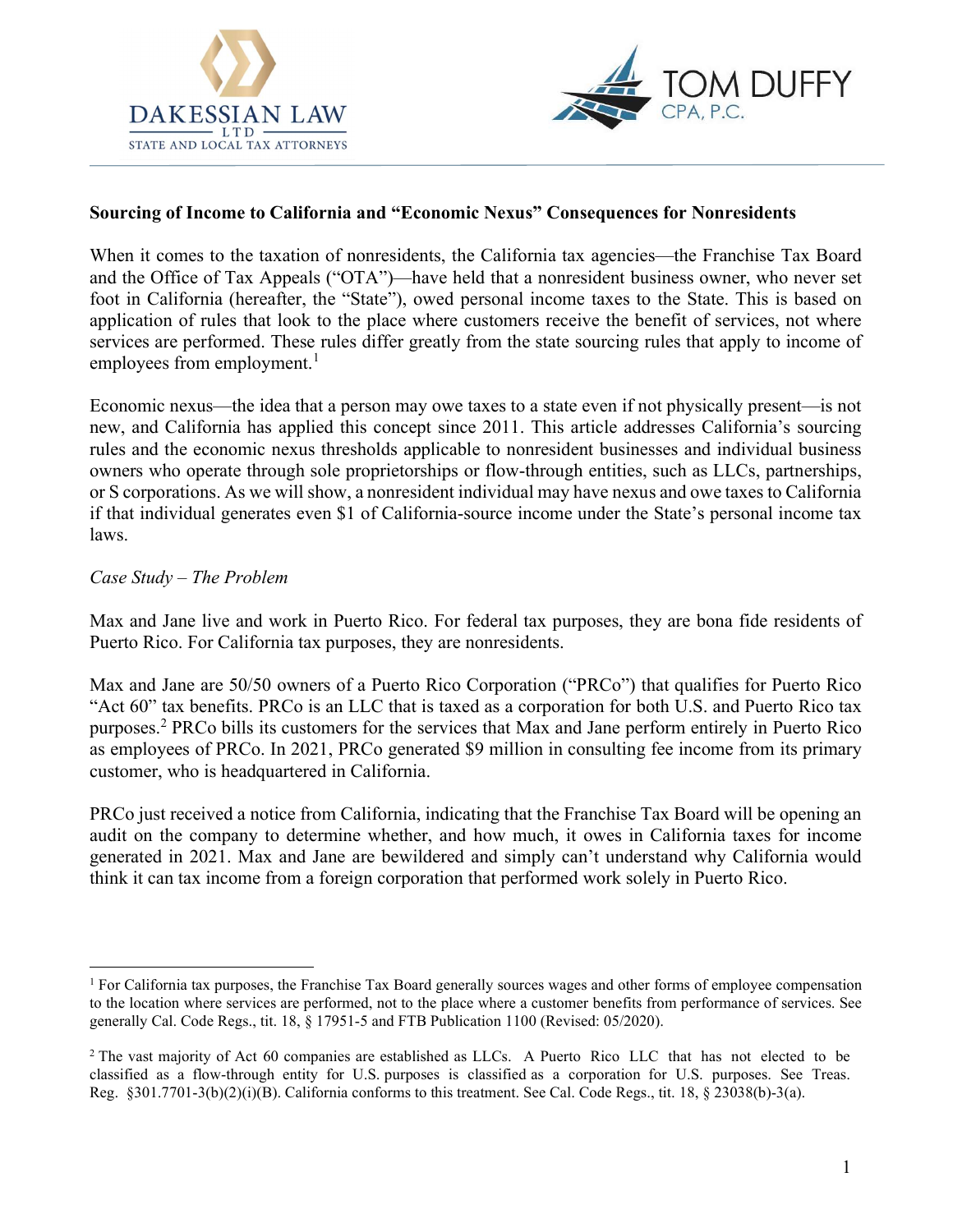



## Sourcing of Income to California and "Economic Nexus" Consequences for Nonresidents

When it comes to the taxation of nonresidents, the California tax agencies—the Franchise Tax Board and the Office of Tax Appeals ("OTA")—have held that a nonresident business owner, who never set foot in California (hereafter, the "State"), owed personal income taxes to the State. This is based on application of rules that look to the place where customers receive the benefit of services, not where services are performed. These rules differ greatly from the state sourcing rules that apply to income of employees from employment. $<sup>1</sup>$ </sup>

Economic nexus—the idea that a person may owe taxes to a state even if not physically present—is not new, and California has applied this concept since 2011. This article addresses California's sourcing rules and the economic nexus thresholds applicable to nonresident businesses and individual business owners who operate through sole proprietorships or flow-through entities, such as LLCs, partnerships, or S corporations. As we will show, a nonresident individual may have nexus and owe taxes to California if that individual generates even \$1 of California-source income under the State's personal income tax laws.

### Case Study – The Problem

Max and Jane live and work in Puerto Rico. For federal tax purposes, they are bona fide residents of Puerto Rico. For California tax purposes, they are nonresidents.

Max and Jane are 50/50 owners of a Puerto Rico Corporation ("PRCo") that qualifies for Puerto Rico "Act 60" tax benefits. PRCo is an LLC that is taxed as a corporation for both U.S. and Puerto Rico tax purposes.<sup>2</sup> PRCo bills its customers for the services that Max and Jane perform entirely in Puerto Rico as employees of PRCo. In 2021, PRCo generated \$9 million in consulting fee income from its primary customer, who is headquartered in California.

PRCo just received a notice from California, indicating that the Franchise Tax Board will be opening an audit on the company to determine whether, and how much, it owes in California taxes for income generated in 2021. Max and Jane are bewildered and simply can't understand why California would think it can tax income from a foreign corporation that performed work solely in Puerto Rico.

<sup>&</sup>lt;sup>1</sup> For California tax purposes, the Franchise Tax Board generally sources wages and other forms of employee compensation to the location where services are performed, not to the place where a customer benefits from performance of services. See generally Cal. Code Regs., tit. 18, § 17951-5 and FTB Publication 1100 (Revised: 05/2020).

<sup>&</sup>lt;sup>2</sup> The vast majority of Act 60 companies are established as LLCs. A Puerto Rico LLC that has not elected to be classified as a flow-through entity for U.S. purposes is classified as a corporation for U.S. purposes. See Treas. Reg.  $§301.7701-3(b)(2)(i)(B)$ . California conforms to this treatment. See Cal. Code Regs., tit. 18, § 23038(b)-3(a).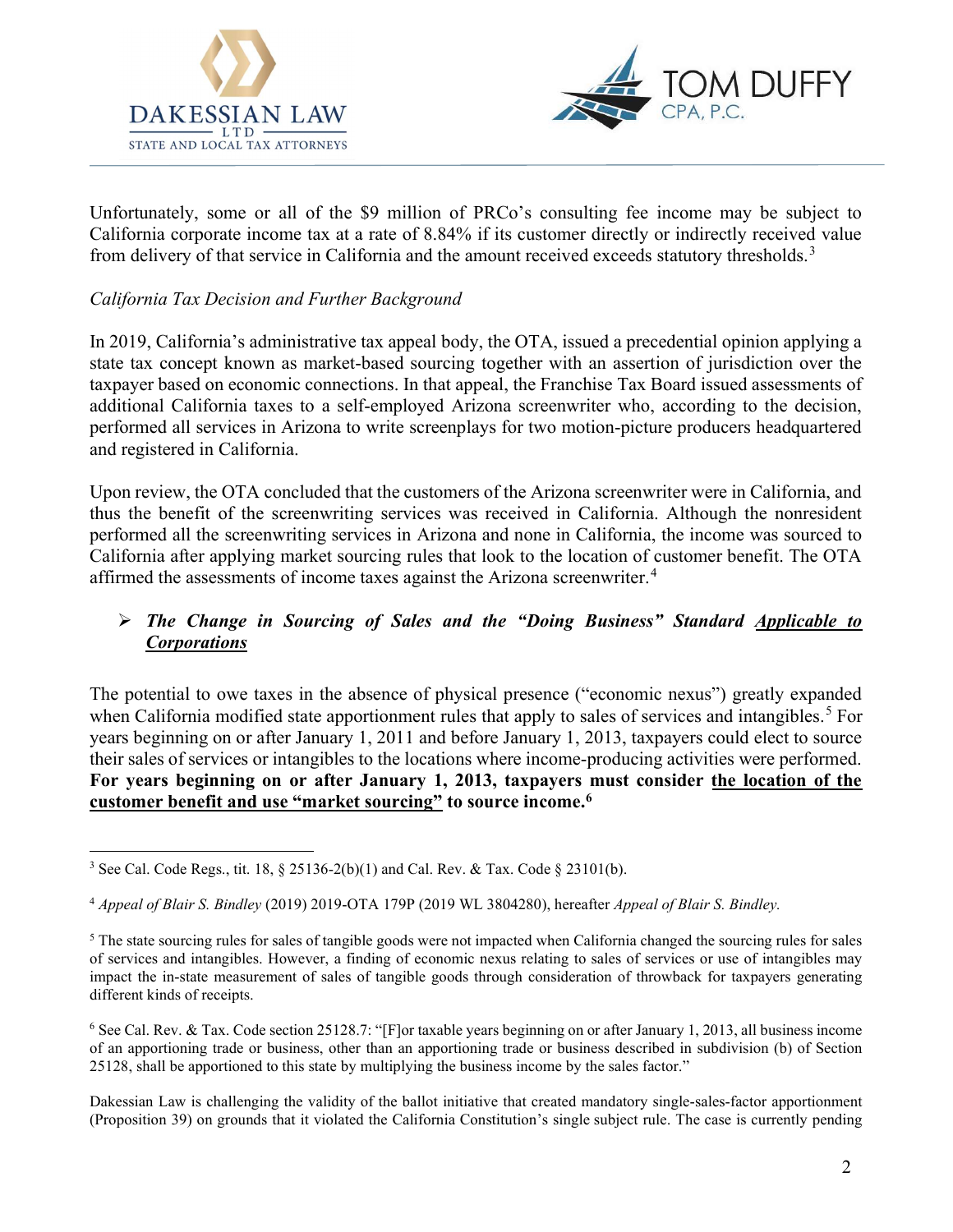



Unfortunately, some or all of the \$9 million of PRCo's consulting fee income may be subject to California corporate income tax at a rate of 8.84% if its customer directly or indirectly received value from delivery of that service in California and the amount received exceeds statutory thresholds.<sup>3</sup>

# California Tax Decision and Further Background

In 2019, California's administrative tax appeal body, the OTA, issued a precedential opinion applying a state tax concept known as market-based sourcing together with an assertion of jurisdiction over the taxpayer based on economic connections. In that appeal, the Franchise Tax Board issued assessments of additional California taxes to a self-employed Arizona screenwriter who, according to the decision, performed all services in Arizona to write screenplays for two motion-picture producers headquartered and registered in California.

Upon review, the OTA concluded that the customers of the Arizona screenwriter were in California, and thus the benefit of the screenwriting services was received in California. Although the nonresident performed all the screenwriting services in Arizona and none in California, the income was sourced to California after applying market sourcing rules that look to the location of customer benefit. The OTA affirmed the assessments of income taxes against the Arizona screenwriter.<sup>4</sup>

# The Change in Sourcing of Sales and the "Doing Business" Standard Applicable to **Corporations**

The potential to owe taxes in the absence of physical presence ("economic nexus") greatly expanded when California modified state apportionment rules that apply to sales of services and intangibles.<sup>5</sup> For years beginning on or after January 1, 2011 and before January 1, 2013, taxpayers could elect to source their sales of services or intangibles to the locations where income-producing activities were performed. For years beginning on or after January 1, 2013, taxpayers must consider the location of the customer benefit and use "market sourcing" to source income.<sup>6</sup>

<sup>&</sup>lt;sup>3</sup> See Cal. Code Regs., tit. 18,  $\S 25136-2(b)(1)$  and Cal. Rev. & Tax. Code  $\S 23101(b)$ .

<sup>4</sup> Appeal of Blair S. Bindley (2019) 2019-OTA 179P (2019 WL 3804280), hereafter Appeal of Blair S. Bindley.

<sup>&</sup>lt;sup>5</sup> The state sourcing rules for sales of tangible goods were not impacted when California changed the sourcing rules for sales of services and intangibles. However, a finding of economic nexus relating to sales of services or use of intangibles may impact the in-state measurement of sales of tangible goods through consideration of throwback for taxpayers generating different kinds of receipts.

<sup>6</sup> See Cal. Rev. & Tax. Code section 25128.7: "[F]or taxable years beginning on or after January 1, 2013, all business income of an apportioning trade or business, other than an apportioning trade or business described in subdivision (b) of Section 25128, shall be apportioned to this state by multiplying the business income by the sales factor."

Dakessian Law is challenging the validity of the ballot initiative that created mandatory single-sales-factor apportionment (Proposition 39) on grounds that it violated the California Constitution's single subject rule. The case is currently pending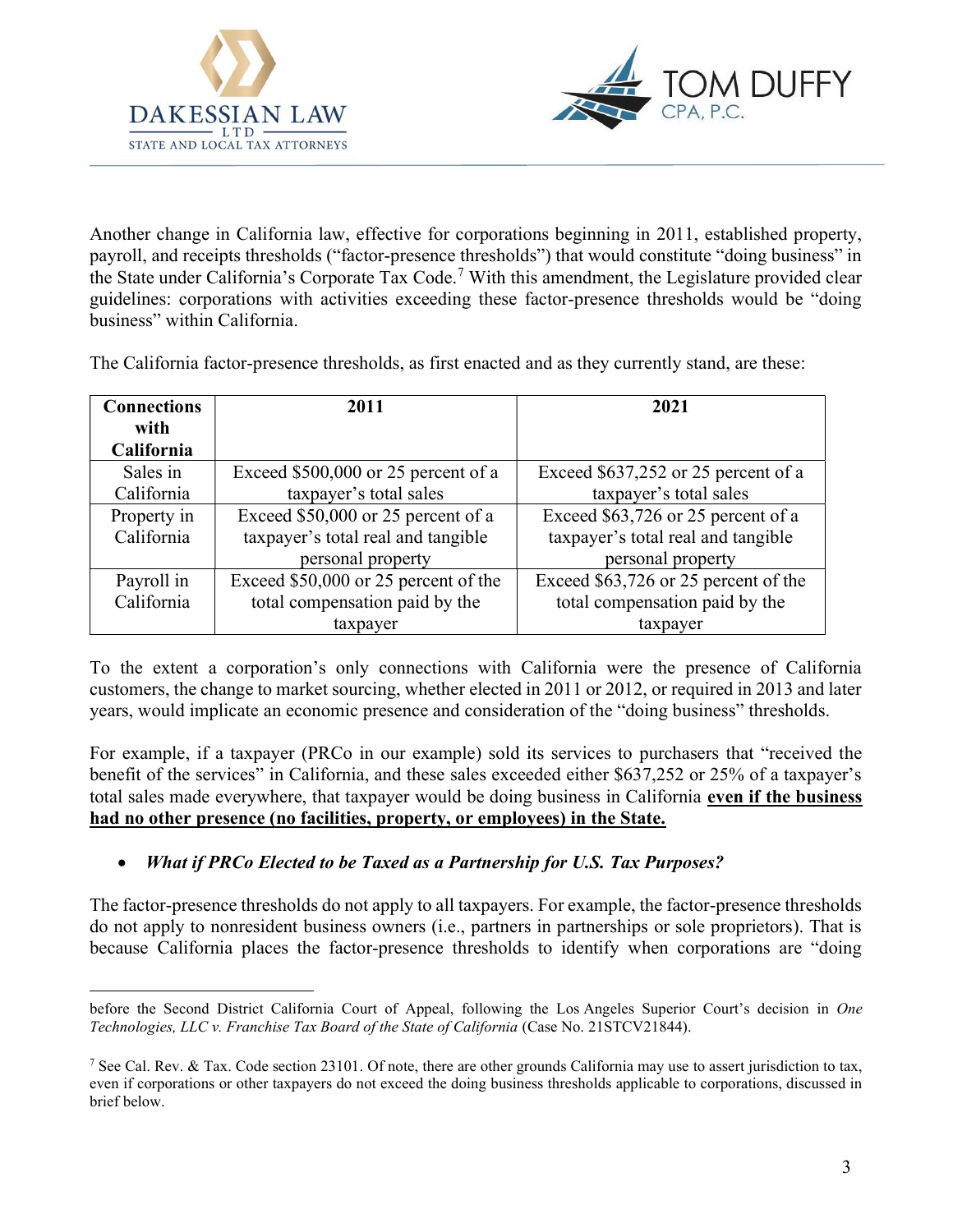



Another change in California law, effective for corporations beginning in 2011, established property, payroll, and receipts thresholds ("factor-presence thresholds") that would constitute "doing business" in the State under California's Corporate Tax Code.<sup>7</sup> With this amendment, the Legislature provided clear guidelines: corporations with activities exceeding these factor-presence thresholds would be "doing business" within California.

The California factor-presence thresholds, as first enacted and as they currently stand, are these:

| <b>Connections</b> | 2011                                 | 2021                                 |
|--------------------|--------------------------------------|--------------------------------------|
| with               |                                      |                                      |
| California         |                                      |                                      |
| Sales in           | Exceed $$500,000$ or 25 percent of a | Exceed \$637,252 or 25 percent of a  |
| California         | taxpayer's total sales               | taxpayer's total sales               |
| Property in        | Exceed \$50,000 or 25 percent of a   | Exceed \$63,726 or 25 percent of a   |
| California         | taxpayer's total real and tangible   | taxpayer's total real and tangible   |
|                    | personal property                    | personal property                    |
| Payroll in         | Exceed \$50,000 or 25 percent of the | Exceed \$63,726 or 25 percent of the |
| California         | total compensation paid by the       | total compensation paid by the       |
|                    | taxpayer                             | taxpayer                             |

To the extent a corporation's only connections with California were the presence of California customers, the change to market sourcing, whether elected in 2011 or 2012, or required in 2013 and later years, would implicate an economic presence and consideration of the "doing business" thresholds.

For example, if a taxpayer (PRCo in our example) sold its services to purchasers that "received the benefit of the services" in California, and these sales exceeded either \$637,252 or 25% of a taxpayer's total sales made everywhere, that taxpayer would be doing business in California even if the business had no other presence (no facilities, property, or employees) in the State.

## • What if PRCo Elected to be Taxed as a Partnership for U.S. Tax Purposes?

The factor-presence thresholds do not apply to all taxpayers. For example, the factor-presence thresholds do not apply to nonresident business owners (i.e., partners in partnerships or sole proprietors). That is because California places the factor-presence thresholds to identify when corporations are "doing

before the Second District California Court of Appeal, following the Los Angeles Superior Court's decision in One Technologies, LLC v. Franchise Tax Board of the State of California (Case No. 21STCV21844).

<sup>&</sup>lt;sup>7</sup> See Cal. Rev. & Tax. Code section 23101. Of note, there are other grounds California may use to assert jurisdiction to tax, even if corporations or other taxpayers do not exceed the doing business thresholds applicable to corporations, discussed in brief below.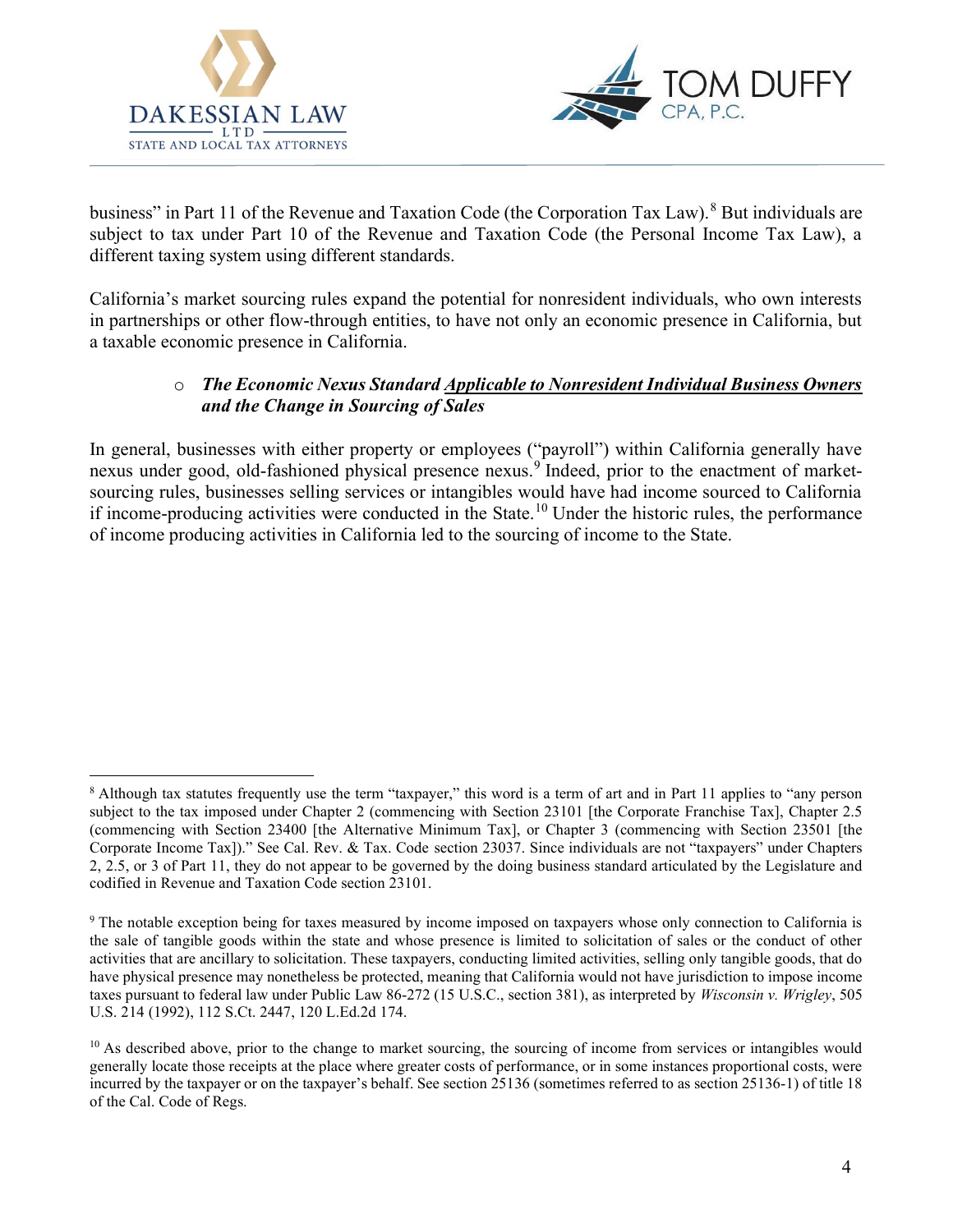



business" in Part 11 of the Revenue and Taxation Code (the Corporation Tax Law).<sup>8</sup> But individuals are subject to tax under Part 10 of the Revenue and Taxation Code (the Personal Income Tax Law), a different taxing system using different standards.

California's market sourcing rules expand the potential for nonresident individuals, who own interests in partnerships or other flow-through entities, to have not only an economic presence in California, but a taxable economic presence in California.

# o The Economic Nexus Standard Applicable to Nonresident Individual Business Owners and the Change in Sourcing of Sales

In general, businesses with either property or employees ("payroll") within California generally have nexus under good, old-fashioned physical presence nexus.<sup>9</sup> Indeed, prior to the enactment of marketsourcing rules, businesses selling services or intangibles would have had income sourced to California if income-producing activities were conducted in the State.<sup>10</sup> Under the historic rules, the performance of income producing activities in California led to the sourcing of income to the State.

<sup>&</sup>lt;sup>8</sup> Although tax statutes frequently use the term "taxpayer," this word is a term of art and in Part 11 applies to "any person subject to the tax imposed under Chapter 2 (commencing with Section 23101 [the Corporate Franchise Tax], Chapter 2.5 (commencing with Section 23400 [the Alternative Minimum Tax], or Chapter 3 (commencing with Section 23501 [the Corporate Income Tax])." See Cal. Rev. & Tax. Code section 23037. Since individuals are not "taxpayers" under Chapters 2, 2.5, or 3 of Part 11, they do not appear to be governed by the doing business standard articulated by the Legislature and codified in Revenue and Taxation Code section 23101.

<sup>&</sup>lt;sup>9</sup> The notable exception being for taxes measured by income imposed on taxpayers whose only connection to California is the sale of tangible goods within the state and whose presence is limited to solicitation of sales or the conduct of other activities that are ancillary to solicitation. These taxpayers, conducting limited activities, selling only tangible goods, that do have physical presence may nonetheless be protected, meaning that California would not have jurisdiction to impose income taxes pursuant to federal law under Public Law 86-272 (15 U.S.C., section 381), as interpreted by Wisconsin v. Wrigley, 505 U.S. 214 (1992), 112 S.Ct. 2447, 120 L.Ed.2d 174.

 $10$  As described above, prior to the change to market sourcing, the sourcing of income from services or intangibles would generally locate those receipts at the place where greater costs of performance, or in some instances proportional costs, were incurred by the taxpayer or on the taxpayer's behalf. See section 25136 (sometimes referred to as section 25136-1) of title 18 of the Cal. Code of Regs.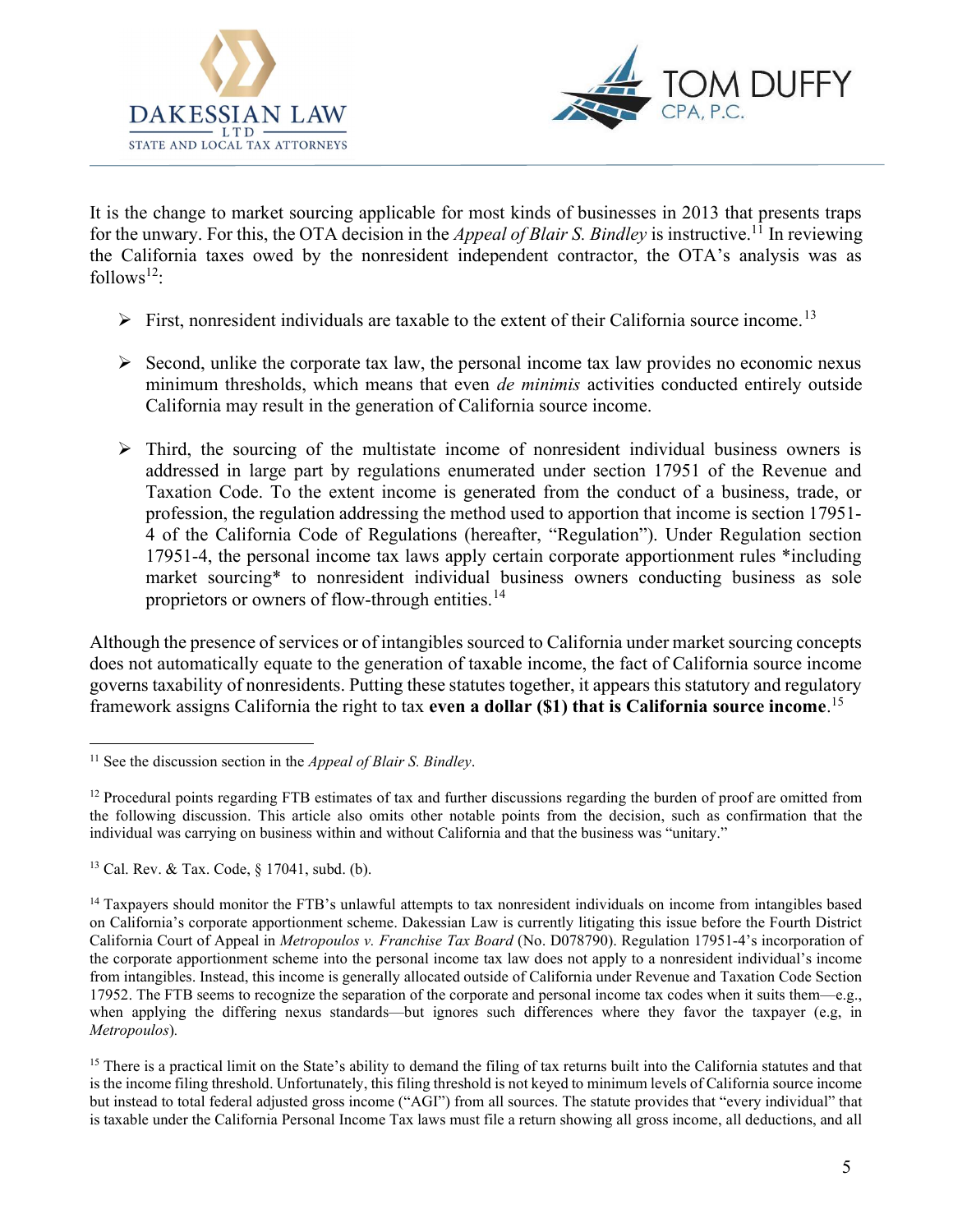



It is the change to market sourcing applicable for most kinds of businesses in 2013 that presents traps for the unwary. For this, the OTA decision in the *Appeal of Blair S. Bindley* is instructive.<sup>11</sup> In reviewing the California taxes owed by the nonresident independent contractor, the OTA's analysis was as follows $^{12}$ :

- $\triangleright$  First, nonresident individuals are taxable to the extent of their California source income.<sup>13</sup>
- $\triangleright$  Second, unlike the corporate tax law, the personal income tax law provides no economic nexus minimum thresholds, which means that even de minimis activities conducted entirely outside California may result in the generation of California source income.
- $\triangleright$  Third, the sourcing of the multistate income of nonresident individual business owners is addressed in large part by regulations enumerated under section 17951 of the Revenue and Taxation Code. To the extent income is generated from the conduct of a business, trade, or profession, the regulation addressing the method used to apportion that income is section 17951- 4 of the California Code of Regulations (hereafter, "Regulation"). Under Regulation section 17951-4, the personal income tax laws apply certain corporate apportionment rules \*including market sourcing\* to nonresident individual business owners conducting business as sole proprietors or owners of flow-through entities.<sup>14</sup>

Although the presence of services or of intangibles sourced to California under market sourcing concepts does not automatically equate to the generation of taxable income, the fact of California source income governs taxability of nonresidents. Putting these statutes together, it appears this statutory and regulatory framework assigns California the right to tax even a dollar  $(S1)$  that is California source income.<sup>15</sup>

<sup>13</sup> Cal. Rev. & Tax. Code, § 17041, subd. (b).

<sup>&</sup>lt;sup>11</sup> See the discussion section in the *Appeal of Blair S. Bindley*.

<sup>&</sup>lt;sup>12</sup> Procedural points regarding FTB estimates of tax and further discussions regarding the burden of proof are omitted from the following discussion. This article also omits other notable points from the decision, such as confirmation that the individual was carrying on business within and without California and that the business was "unitary."

<sup>&</sup>lt;sup>14</sup> Taxpayers should monitor the FTB's unlawful attempts to tax nonresident individuals on income from intangibles based on California's corporate apportionment scheme. Dakessian Law is currently litigating this issue before the Fourth District California Court of Appeal in Metropoulos v. Franchise Tax Board (No. D078790). Regulation 17951-4's incorporation of the corporate apportionment scheme into the personal income tax law does not apply to a nonresident individual's income from intangibles. Instead, this income is generally allocated outside of California under Revenue and Taxation Code Section 17952. The FTB seems to recognize the separation of the corporate and personal income tax codes when it suits them—e.g., when applying the differing nexus standards—but ignores such differences where they favor the taxpayer (e.g, in Metropoulos).

<sup>&</sup>lt;sup>15</sup> There is a practical limit on the State's ability to demand the filing of tax returns built into the California statutes and that is the income filing threshold. Unfortunately, this filing threshold is not keyed to minimum levels of California source income but instead to total federal adjusted gross income ("AGI") from all sources. The statute provides that "every individual" that is taxable under the California Personal Income Tax laws must file a return showing all gross income, all deductions, and all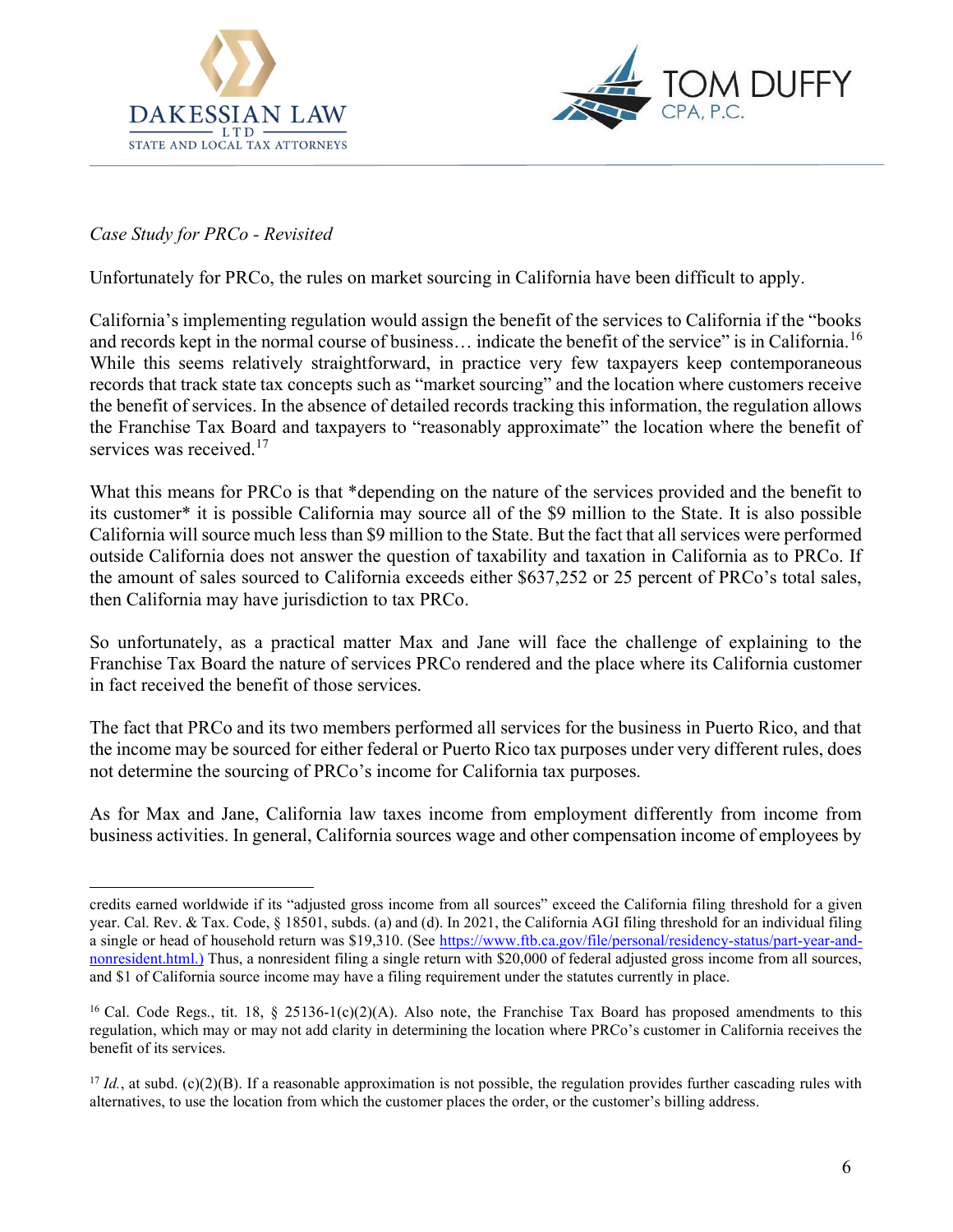



## Case Study for PRCo - Revisited

Unfortunately for PRCo, the rules on market sourcing in California have been difficult to apply.

California's implementing regulation would assign the benefit of the services to California if the "books and records kept in the normal course of business... indicate the benefit of the service" is in California.<sup>16</sup> While this seems relatively straightforward, in practice very few taxpayers keep contemporaneous records that track state tax concepts such as "market sourcing" and the location where customers receive the benefit of services. In the absence of detailed records tracking this information, the regulation allows the Franchise Tax Board and taxpayers to "reasonably approximate" the location where the benefit of services was received.<sup>17</sup>

What this means for PRCo is that \*depending on the nature of the services provided and the benefit to its customer\* it is possible California may source all of the \$9 million to the State. It is also possible California will source much less than \$9 million to the State. But the fact that all services were performed outside California does not answer the question of taxability and taxation in California as to PRCo. If the amount of sales sourced to California exceeds either \$637,252 or 25 percent of PRCo's total sales, then California may have jurisdiction to tax PRCo.

So unfortunately, as a practical matter Max and Jane will face the challenge of explaining to the Franchise Tax Board the nature of services PRCo rendered and the place where its California customer in fact received the benefit of those services.

The fact that PRCo and its two members performed all services for the business in Puerto Rico, and that the income may be sourced for either federal or Puerto Rico tax purposes under very different rules, does not determine the sourcing of PRCo's income for California tax purposes.

As for Max and Jane, California law taxes income from employment differently from income from business activities. In general, California sources wage and other compensation income of employees by

credits earned worldwide if its "adjusted gross income from all sources" exceed the California filing threshold for a given year. Cal. Rev. & Tax. Code, § 18501, subds. (a) and (d). In 2021, the California AGI filing threshold for an individual filing a single or head of household return was \$19,310. (See https://www.ftb.ca.gov/file/personal/residency-status/part-year-andnonresident.html.) Thus, a nonresident filing a single return with \$20,000 of federal adjusted gross income from all sources, and \$1 of California source income may have a filing requirement under the statutes currently in place.

<sup>&</sup>lt;sup>16</sup> Cal. Code Regs., tit. 18, § 25136-1(c)(2)(A). Also note, the Franchise Tax Board has proposed amendments to this regulation, which may or may not add clarity in determining the location where PRCo's customer in California receives the benefit of its services.

<sup>&</sup>lt;sup>17</sup> Id., at subd. (c)(2)(B). If a reasonable approximation is not possible, the regulation provides further cascading rules with alternatives, to use the location from which the customer places the order, or the customer's billing address.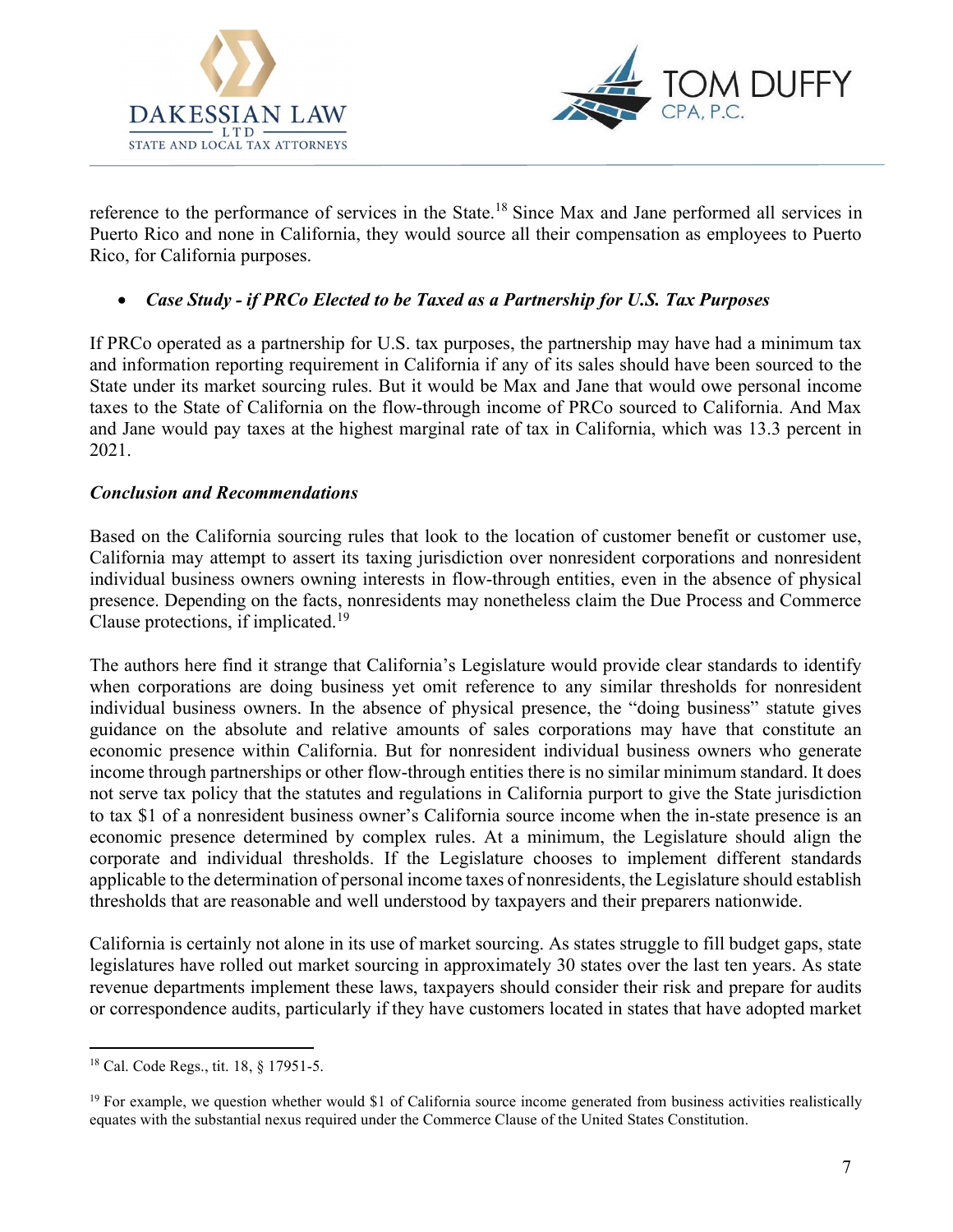



reference to the performance of services in the State.<sup>18</sup> Since Max and Jane performed all services in Puerto Rico and none in California, they would source all their compensation as employees to Puerto Rico, for California purposes.

# • Case Study - if PRCo Elected to be Taxed as a Partnership for U.S. Tax Purposes

If PRCo operated as a partnership for U.S. tax purposes, the partnership may have had a minimum tax and information reporting requirement in California if any of its sales should have been sourced to the State under its market sourcing rules. But it would be Max and Jane that would owe personal income taxes to the State of California on the flow-through income of PRCo sourced to California. And Max and Jane would pay taxes at the highest marginal rate of tax in California, which was 13.3 percent in 2021.

## Conclusion and Recommendations

Based on the California sourcing rules that look to the location of customer benefit or customer use, California may attempt to assert its taxing jurisdiction over nonresident corporations and nonresident individual business owners owning interests in flow-through entities, even in the absence of physical presence. Depending on the facts, nonresidents may nonetheless claim the Due Process and Commerce Clause protections, if implicated.<sup>19</sup>

The authors here find it strange that California's Legislature would provide clear standards to identify when corporations are doing business yet omit reference to any similar thresholds for nonresident individual business owners. In the absence of physical presence, the "doing business" statute gives guidance on the absolute and relative amounts of sales corporations may have that constitute an economic presence within California. But for nonresident individual business owners who generate income through partnerships or other flow-through entities there is no similar minimum standard. It does not serve tax policy that the statutes and regulations in California purport to give the State jurisdiction to tax \$1 of a nonresident business owner's California source income when the in-state presence is an economic presence determined by complex rules. At a minimum, the Legislature should align the corporate and individual thresholds. If the Legislature chooses to implement different standards applicable to the determination of personal income taxes of nonresidents, the Legislature should establish thresholds that are reasonable and well understood by taxpayers and their preparers nationwide.

California is certainly not alone in its use of market sourcing. As states struggle to fill budget gaps, state legislatures have rolled out market sourcing in approximately 30 states over the last ten years. As state revenue departments implement these laws, taxpayers should consider their risk and prepare for audits or correspondence audits, particularly if they have customers located in states that have adopted market

<sup>18</sup> Cal. Code Regs., tit. 18, § 17951-5.

 $19$  For example, we question whether would \$1 of California source income generated from business activities realistically equates with the substantial nexus required under the Commerce Clause of the United States Constitution.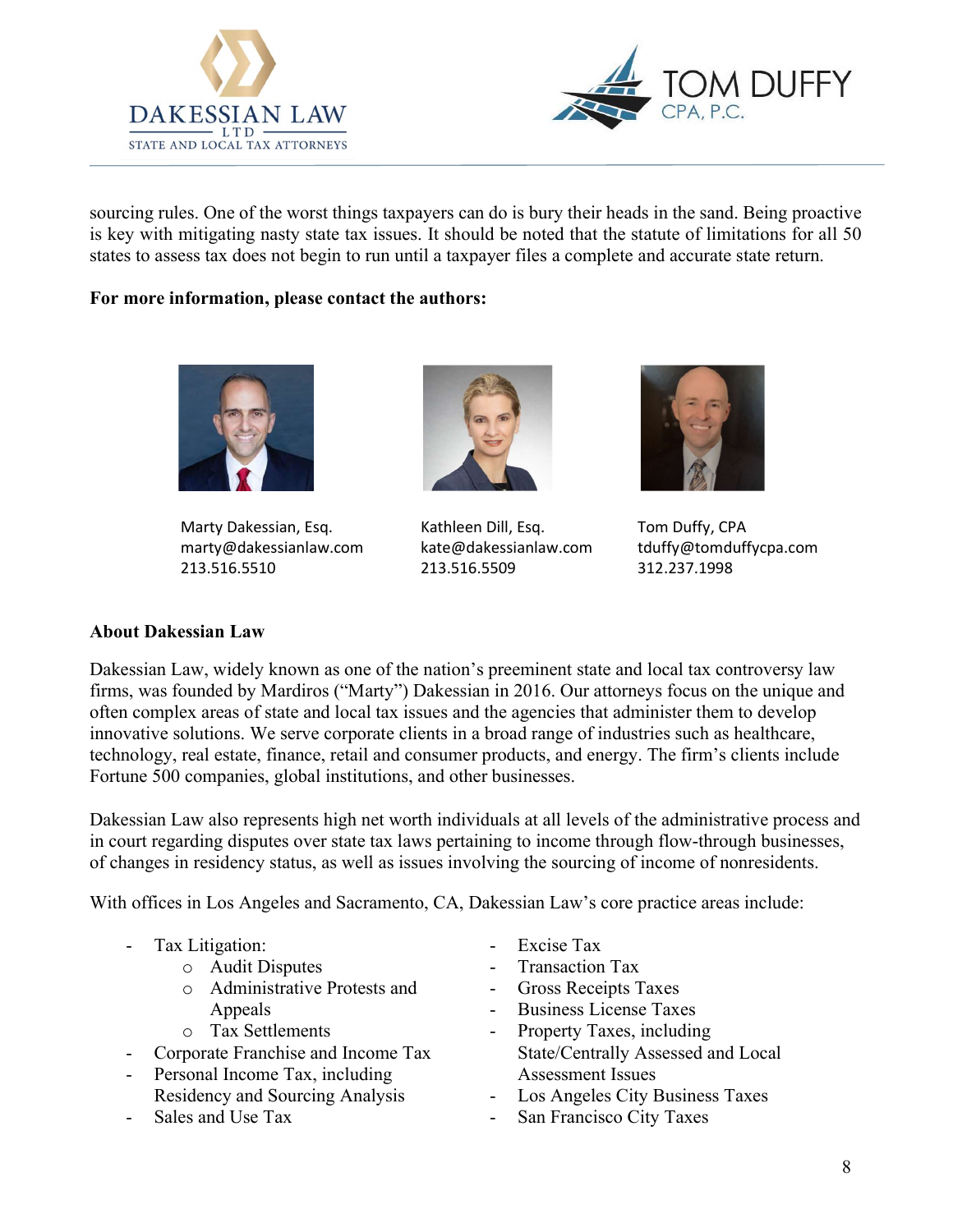



sourcing rules. One of the worst things taxpayers can do is bury their heads in the sand. Being proactive is key with mitigating nasty state tax issues. It should be noted that the statute of limitations for all 50 states to assess tax does not begin to run until a taxpayer files a complete and accurate state return.

### For more information, please contact the authors:



Marty Dakessian, Esq. The Kathleen Dill, Esq. Tom Duffy, CPA marty@dakessianlaw.com kate@dakessianlaw.com tduffy@tomduffycpa.com 213.516.5510 213.516.5509 312.237.1998





## About Dakessian Law

Dakessian Law, widely known as one of the nation's preeminent state and local tax controversy law firms, was founded by Mardiros ("Marty") Dakessian in 2016. Our attorneys focus on the unique and often complex areas of state and local tax issues and the agencies that administer them to develop innovative solutions. We serve corporate clients in a broad range of industries such as healthcare, technology, real estate, finance, retail and consumer products, and energy. The firm's clients include Fortune 500 companies, global institutions, and other businesses.

Dakessian Law also represents high net worth individuals at all levels of the administrative process and in court regarding disputes over state tax laws pertaining to income through flow-through businesses, of changes in residency status, as well as issues involving the sourcing of income of nonresidents.

With offices in Los Angeles and Sacramento, CA, Dakessian Law's core practice areas include:

- Tax Litigation:
	- o Audit Disputes
	- o Administrative Protests and Appeals
	- o Tax Settlements
- Corporate Franchise and Income Tax
- Personal Income Tax, including Residency and Sourcing Analysis
- Sales and Use Tax
- Excise Tax
- Transaction Tax
- Gross Receipts Taxes
- Business License Taxes
- Property Taxes, including State/Centrally Assessed and Local Assessment Issues
- Los Angeles City Business Taxes
- San Francisco City Taxes